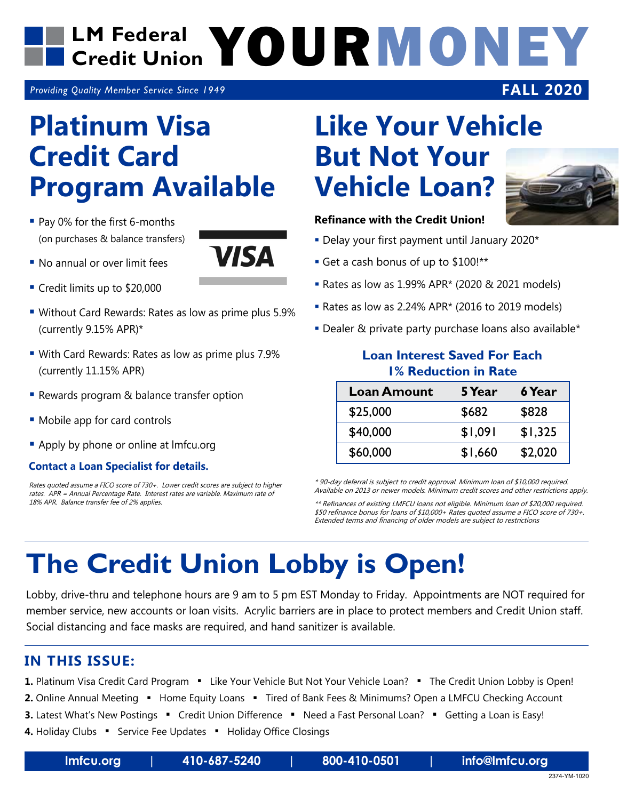## LM Federal **YOURMONEY Credit Union**

*Providing Quality Member Service Since 1949*

### **Platinum Visa Credit Card Program Available**

- Pay 0% for the first 6-months (on purchases & balance transfers)
- No annual or over limit fees
- Credit limits up to \$20,000
- Without Card Rewards: Rates as low as prime plus 5.9% (currently 9.15% APR)\*
- With Card Rewards: Rates as low as prime plus 7.9% (currently 11.15% APR)
- **Rewards program & balance transfer option**
- Mobile app for card controls
- Apply by phone or online at Imfcu.org

### **Contact a Loan Specialist for details.**

Rates quoted assume a FICO score of 730+. Lower credit scores are subject to higher rates. APR = Annual Percentage Rate. Interest rates are variable. Maximum rate of 18% APR. Balance transfer fee of 2% applies.

## **Like Your Vehicle But Not Your Vehicle Loan?**



**FALL 2020**

#### **Refinance with the Credit Union!**

- Delay your first payment until January 2020\*
- Get a cash bonus of up to \$100!\*\*
- Rates as low as 1.99% APR\* (2020 & 2021 models)
- Rates as low as 2.24% APR\* (2016 to 2019 models)
- **Dealer & private party purchase loans also available\***

#### **Loan Interest Saved For Each 1% Reduction in Rate**

| <b>Loan Amount</b> | 5 Year  | 6 Year  |
|--------------------|---------|---------|
| \$25,000           | \$682   | \$828   |
| \$40,000           | \$1,091 | \$1,325 |
| \$60,000           | \$1,660 | \$2,020 |

\* 90-day deferral is subject to credit approval. Minimum loan of \$10,000 required. Available on 2013 or newer models. Minimum credit scores and other restrictions apply.

\*\* Refinances of existing LMFCU loans not eligible. Minimum loan of \$20,000 required. \$50 refinance bonus for loans of \$10,000+ Rates quoted assume a FICO score of 730+. Extended terms and financing of older models are subject to restrictions

## **The Credit Union Lobby is Open!**

ЛСД

Lobby, drive-thru and telephone hours are 9 am to 5 pm EST Monday to Friday. Appointments are NOT required for member service, new accounts or loan visits. Acrylic barriers are in place to protect members and Credit Union staff. Social distancing and face masks are required, and hand sanitizer is available.

### **IN THIS ISSUE:**

1. Platinum Visa Credit Card Program • Like Your Vehicle But Not Your Vehicle Loan? • The Credit Union Lobby is Open!

- 2. Online Annual Meeting " Home Equity Loans " Tired of Bank Fees & Minimums? Open a LMFCU Checking Account
- **3.** Latest What's New Postings Credit Union Difference Need a Fast Personal Loan? Getting a Loan is Easy!
- 4. Holiday Clubs Service Fee Updates Holiday Office Closings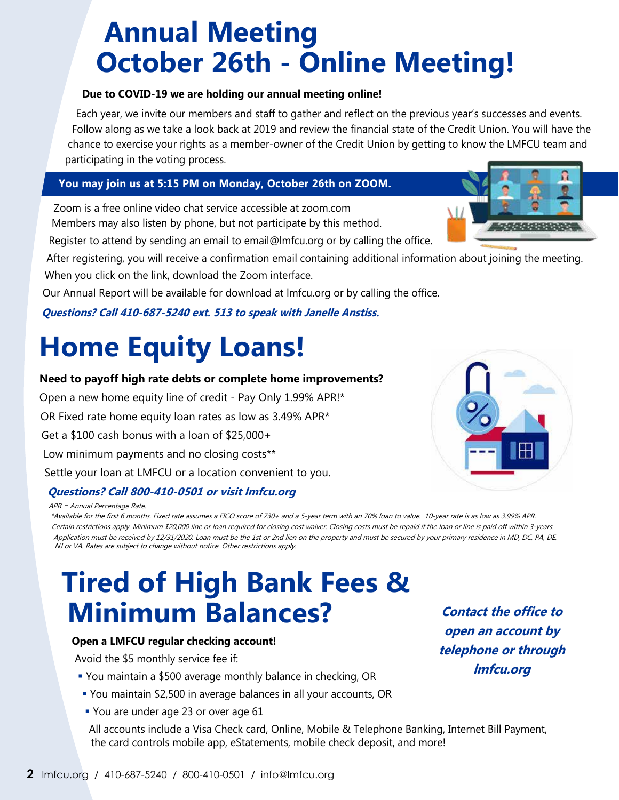## **Annual Meeting October 26th - Online Meeting!**

#### **Due to COVID-19 we are holding our annual meeting online!**

Each year, we invite our members and staff to gather and reflect on the previous year's successes and events. Follow along as we take a look back at 2019 and review the financial state of the Credit Union. You will have the chance to exercise your rights as a member-owner of the Credit Union by getting to know the LMFCU team and participating in the voting process.

#### **You may join us at 5:15 PM on Monday, October 26th on ZOOM.**

Zoom is a free online video chat service accessible at zoom.com Members may also listen by phone, but not participate by this method.

Register to attend by sending an email to email@lmfcu.org or by calling the office.

After registering, you will receive a confirmation email containing additional information about joining the meeting. When you click on the link, download the Zoom interface.

Our Annual Report will be available for download at lmfcu.org or by calling the office.

#### **Questions? Call 410-687-5240 ext. 513 to speak with Janelle Anstiss.**

## **Home Equity Loans!**

**Need to payoff high rate debts or complete home improvements?**

Open a new home equity line of credit - Pay Only 1.99% APR!\*

OR Fixed rate home equity loan rates as low as 3.49% APR\*

Get a \$100 cash bonus with a loan of \$25,000+

Low minimum payments and no closing costs\*\*

Settle your loan at LMFCU or a location convenient to you.

### **Questions? Call 800-410-0501 or visit lmfcu.org**

APR = Annual Percentage Rate.

\*Available for the first 6 months. Fixed rate assumes a FICO score of 730+ and a 5-year term with an 70% loan to value. 10-year rate is as low as 3.99% APR. Certain restrictions apply. Minimum \$20,000 line or loan required for closing cost waiver. Closing costs must be repaid if the loan or line is paid off within 3-years. Application must be received by 12/31/2020. Loan must be the 1st or 2nd lien on the property and must be secured by your primary residence in MD, DC, PA, DE, NJ or VA. Rates are subject to change without notice. Other restrictions apply.

### **Tired of High Bank Fees & Minimum Balances?**

#### **Open a LMFCU regular checking account!**

Avoid the \$5 monthly service fee if:

- You maintain a \$500 average monthly balance in checking, OR
- You maintain \$2,500 in average balances in all your accounts, OR
- **You are under age 23 or over age 61**

All accounts include a Visa Check card, Online, Mobile & Telephone Banking, Internet Bill Payment, the card controls mobile app, eStatements, mobile check deposit, and more!

**Contact the office to open an account by telephone or through lmfcu.org**

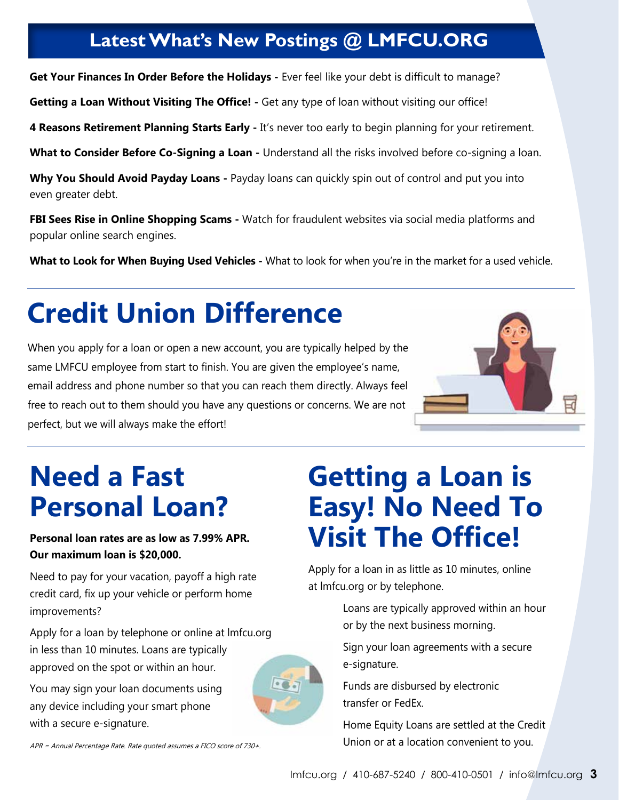### **Latest What's New Postings @ LMFCU.ORG**

Get Your Finances In Order Before the Holidays - Ever feel like your debt is difficult to manage?

**Getting a Loan Without Visiting The Office! -** Get any type of loan without visiting our office!

**4 Reasons Retirement Planning Starts Early -** It's never too early to begin planning for your retirement.

**What to Consider Before Co-Signing a Loan -** Understand all the risks involved before co-signing a loan.

Why You Should Avoid Payday Loans - Payday loans can quickly spin out of control and put you into even greater debt.

**FBI Sees Rise in Online Shopping Scams -** Watch for fraudulent websites via social media platforms and popular online search engines.

**What to Look for When Buying Used Vehicles -** What to look for when you're in the market for a used vehicle.

# **Credit Union Difference**

When you apply for a loan or open a new account, you are typically helped by the same LMFCU employee from start to finish. You are given the employee's name, email address and phone number so that you can reach them directly. Always feel free to reach out to them should you have any questions or concerns. We are not perfect, but we will always make the effort!



## **Need a Fast Personal Loan?**

**Personal loan rates are as low as 7.99% APR. Our maximum loan is \$20,000.**

Need to pay for your vacation, payoff a high rate credit card, fix up your vehicle or perform home improvements?

Apply for a loan by telephone or online at lmfcu.org in less than 10 minutes. Loans are typically approved on the spot or within an hour.

You may sign your loan documents using any device including your smart phone with a secure e-signature.



**Getting a Loan is Easy! No Need To Visit The Office!**

Apply for a loan in as little as 10 minutes, online at lmfcu.org or by telephone.

> Loans are typically approved within an hour or by the next business morning.

 Sign your loan agreements with a secure e-signature.

 Funds are disbursed by electronic transfer or FedEx.

 Home Equity Loans are settled at the Credit Union or at a location convenient to you.

APR = Annual Percentage Rate. Rate quoted assumes a FICO score of 730+.